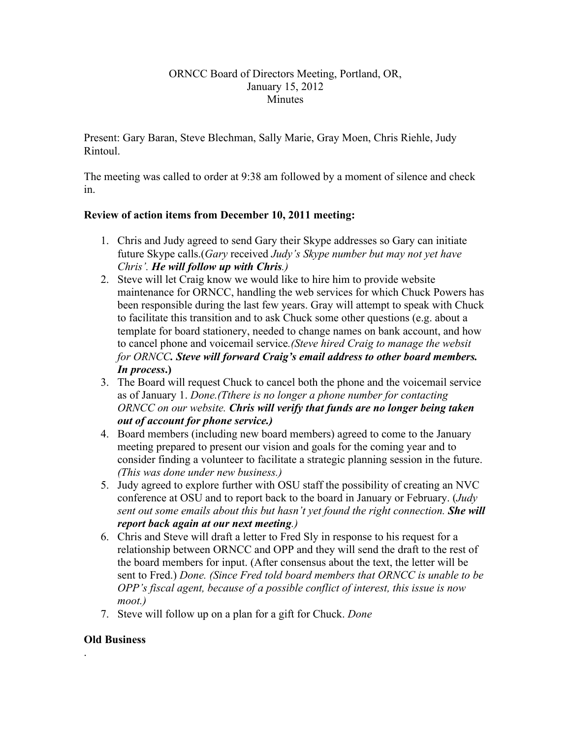### ORNCC Board of Directors Meeting, Portland, OR, January 15, 2012 **Minutes**

Present: Gary Baran, Steve Blechman, Sally Marie, Gray Moen, Chris Riehle, Judy Rintoul.

The meeting was called to order at 9:38 am followed by a moment of silence and check in.

# **Review of action items from December 10, 2011 meeting:**

- 1. Chris and Judy agreed to send Gary their Skype addresses so Gary can initiate future Skype calls.(*Gary* received *Judy's Skype number but may not yet have Chris'. He will follow up with Chris.)*
- 2. Steve will let Craig know we would like to hire him to provide website maintenance for ORNCC, handling the web services for which Chuck Powers has been responsible during the last few years. Gray will attempt to speak with Chuck to facilitate this transition and to ask Chuck some other questions (e.g. about a template for board stationery, needed to change names on bank account, and how to cancel phone and voicemail service*.(Steve hired Craig to manage the websit for ORNCC. Steve will forward Craig's email address to other board members. In process***.)**
- 3. The Board will request Chuck to cancel both the phone and the voicemail service as of January 1. *Done.(Tthere is no longer a phone number for contacting ORNCC on our website. Chris will verify that funds are no longer being taken out of account for phone service.)*
- 4. Board members (including new board members) agreed to come to the January meeting prepared to present our vision and goals for the coming year and to consider finding a volunteer to facilitate a strategic planning session in the future. *(This was done under new business.)*
- 5. Judy agreed to explore further with OSU staff the possibility of creating an NVC conference at OSU and to report back to the board in January or February. (*Judy sent out some emails about this but hasn't yet found the right connection. She will report back again at our next meeting.)*
- 6. Chris and Steve will draft a letter to Fred Sly in response to his request for a relationship between ORNCC and OPP and they will send the draft to the rest of the board members for input. (After consensus about the text, the letter will be sent to Fred.) *Done. (Since Fred told board members that ORNCC is unable to be OPP's fiscal agent, because of a possible conflict of interest, this issue is now moot.)*
- 7. Steve will follow up on a plan for a gift for Chuck. *Done*

# **Old Business**

.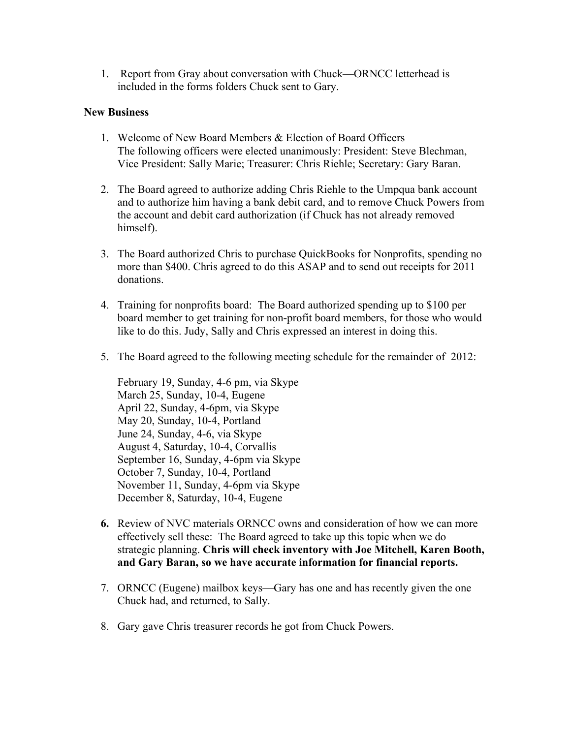1. Report from Gray about conversation with Chuck—ORNCC letterhead is included in the forms folders Chuck sent to Gary.

### **New Business**

- 1. Welcome of New Board Members & Election of Board Officers The following officers were elected unanimously: President: Steve Blechman, Vice President: Sally Marie; Treasurer: Chris Riehle; Secretary: Gary Baran.
- 2. The Board agreed to authorize adding Chris Riehle to the Umpqua bank account and to authorize him having a bank debit card, and to remove Chuck Powers from the account and debit card authorization (if Chuck has not already removed himself).
- 3. The Board authorized Chris to purchase QuickBooks for Nonprofits, spending no more than \$400. Chris agreed to do this ASAP and to send out receipts for 2011 donations.
- 4. Training for nonprofits board: The Board authorized spending up to \$100 per board member to get training for non-profit board members, for those who would like to do this. Judy, Sally and Chris expressed an interest in doing this.
- 5. The Board agreed to the following meeting schedule for the remainder of 2012:

February 19, Sunday, 4-6 pm, via Skype March 25, Sunday, 10-4, Eugene April 22, Sunday, 4-6pm, via Skype May 20, Sunday, 10-4, Portland June 24, Sunday, 4-6, via Skype August 4, Saturday, 10-4, Corvallis September 16, Sunday, 4-6pm via Skype October 7, Sunday, 10-4, Portland November 11, Sunday, 4-6pm via Skype December 8, Saturday, 10-4, Eugene

- **6.** Review of NVC materials ORNCC owns and consideration of how we can more effectively sell these: The Board agreed to take up this topic when we do strategic planning. **Chris will check inventory with Joe Mitchell, Karen Booth, and Gary Baran, so we have accurate information for financial reports.**
- 7. ORNCC (Eugene) mailbox keys—Gary has one and has recently given the one Chuck had, and returned, to Sally.
- 8. Gary gave Chris treasurer records he got from Chuck Powers.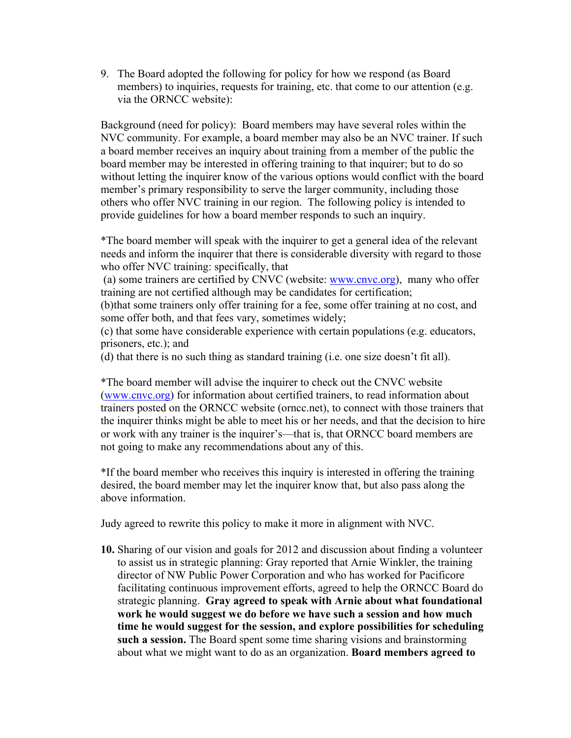9. The Board adopted the following for policy for how we respond (as Board members) to inquiries, requests for training, etc. that come to our attention (e.g. via the ORNCC website):

Background (need for policy): Board members may have several roles within the NVC community. For example, a board member may also be an NVC trainer. If such a board member receives an inquiry about training from a member of the public the board member may be interested in offering training to that inquirer; but to do so without letting the inquirer know of the various options would conflict with the board member's primary responsibility to serve the larger community, including those others who offer NVC training in our region. The following policy is intended to provide guidelines for how a board member responds to such an inquiry.

\*The board member will speak with the inquirer to get a general idea of the relevant needs and inform the inquirer that there is considerable diversity with regard to those who offer NVC training: specifically, that

(a) some trainers are certified by CNVC (website: www.cnvc.org), many who offer training are not certified although may be candidates for certification;

(b)that some trainers only offer training for a fee, some offer training at no cost, and some offer both, and that fees vary, sometimes widely;

(c) that some have considerable experience with certain populations (e.g. educators, prisoners, etc.); and

(d) that there is no such thing as standard training (i.e. one size doesn't fit all).

\*The board member will advise the inquirer to check out the CNVC website (www.cnvc.org) for information about certified trainers, to read information about trainers posted on the ORNCC website (orncc.net), to connect with those trainers that the inquirer thinks might be able to meet his or her needs, and that the decision to hire or work with any trainer is the inquirer's—that is, that ORNCC board members are not going to make any recommendations about any of this.

\*If the board member who receives this inquiry is interested in offering the training desired, the board member may let the inquirer know that, but also pass along the above information.

Judy agreed to rewrite this policy to make it more in alignment with NVC.

**10.** Sharing of our vision and goals for 2012 and discussion about finding a volunteer to assist us in strategic planning: Gray reported that Arnie Winkler, the training director of NW Public Power Corporation and who has worked for Pacificore facilitating continuous improvement efforts, agreed to help the ORNCC Board do strategic planning. **Gray agreed to speak with Arnie about what foundational work he would suggest we do before we have such a session and how much time he would suggest for the session, and explore possibilities for scheduling such a session.** The Board spent some time sharing visions and brainstorming about what we might want to do as an organization. **Board members agreed to**